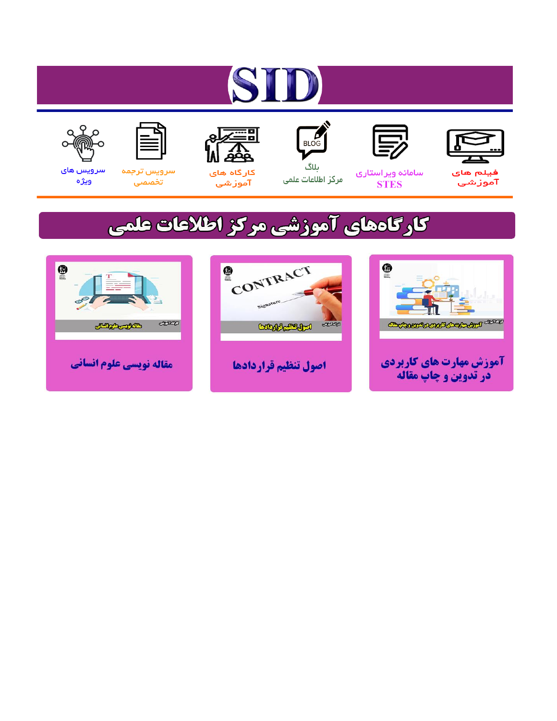# ST









#### سامائه ويراستاري **STES**



ىلاگ مرکز اطلاعات علمی



ققق کارگاه های

آموزشي

空



تخصصى

سرویس های ويژه

### كارگاههای آموزشی مركز اطلاعات علمی





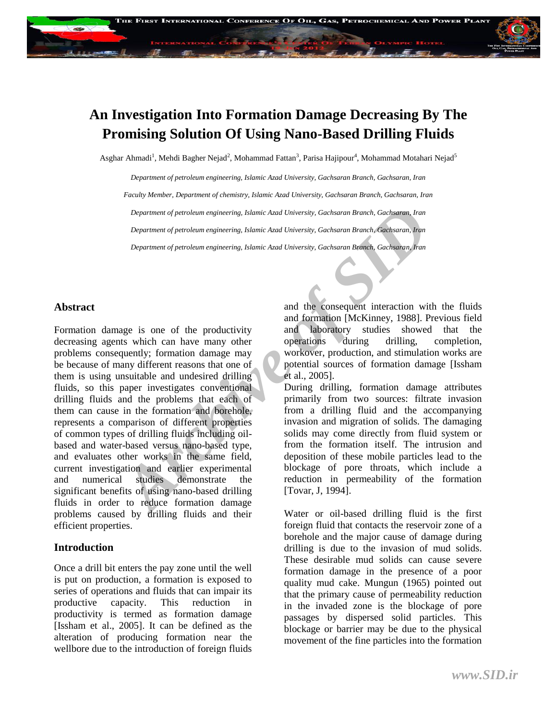### **An Investigation Into Formation Damage Decreasing By The Promising Solution Of Using Nano-Based Drilling Fluids**

Asghar Ahmadi<sup>1</sup>, Mehdi Bagher Nejad<sup>2</sup>, Mohammad Fattan<sup>3</sup>, Parisa Hajipour<sup>4</sup>, Mohammad Motahari Nejad<sup>5</sup>

*Department of petroleum engineering, Islamic Azad University, Gachsaran Branch, Gachsaran, Iran Faculty Member, Department of chemistry, Islamic Azad University, Gachsaran Branch, Gachsaran, Iran Department of petroleum engineering, Islamic Azad University, Gachsaran Branch, Gachsaran, Iran Department of petroleum engineering, Islamic Azad University, Gachsaran Branch, Gachsaran, Iran Department of petroleum engineering, Islamic Azad University, Gachsaran Branch, Gachsaran, Iran*

#### **Abstract**

*Department of petroleum engineering, Islamic Azad University, Gachsaran Branch, Gachsaran, Iran<br>
<i>Department of petroleum engineering, Islamic Azad University, Gachsaran Branch, Gachsaran, Iran<br>
Department of petroleum en* Formation damage is one of the productivity decreasing agents which can have many other problems consequently; formation damage may be because of many different reasons that one of them is using unsuitable and undesired drilling fluids, so this paper investigates conventional drilling fluids and the problems that each of them can cause in the formation and borehole, represents a comparison of different properties of common types of drilling fluids including oilbased and water-based versus nano-based type, and evaluates other works in the same field, current investigation and earlier experimental and numerical studies demonstrate the significant benefits of using nano-based drilling fluids in order to reduce formation damage problems caused by drilling fluids and their efficient properties.

#### **Introduction**

Once a drill bit enters the pay zone until the well is put on production, a formation is exposed to series of operations and fluids that can impair its productive capacity. This reduction in productivity is termed as formation damage [Issham et al., 2005]. It can be defined as the alteration of producing formation near the wellbore due to the introduction of foreign fluids

and the consequent interaction with the fluids and formation [McKinney, 1988]. Previous field and laboratory studies showed that the operations during drilling, completion, workover, production, and stimulation works are potential sources of formation damage [Issham et al., 2005].

During drilling, formation damage attributes primarily from two sources: filtrate invasion from a drilling fluid and the accompanying invasion and migration of solids. The damaging solids may come directly from fluid system or from the formation itself. The intrusion and deposition of these mobile particles lead to the blockage of pore throats, which include a reduction in permeability of the formation [Tovar, J, 1994].

Water or oil-based drilling fluid is the first foreign fluid that contacts the reservoir zone of a borehole and the major cause of damage during drilling is due to the invasion of mud solids. These desirable mud solids can cause severe formation damage in the presence of a poor quality mud cake. Mungun (1965) pointed out that the primary cause of permeability reduction in the invaded zone is the blockage of pore passages by dispersed solid particles. This blockage or barrier may be due to the physical movement of the fine particles into the formation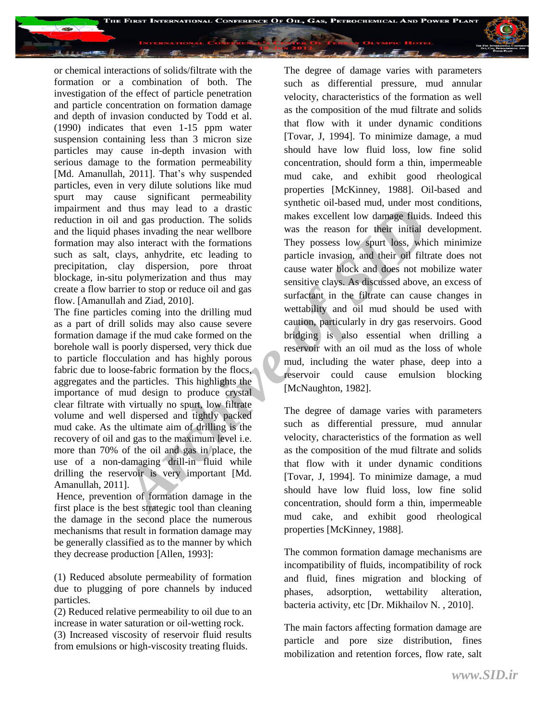

or chemical interactions of solids/filtrate with the formation or a combination of both. The investigation of the effect of particle penetration and particle concentration on formation damage and depth of invasion conducted by Todd et al. (1990) indicates that even 1-15 ppm water suspension containing less than 3 micron size particles may cause in-depth invasion with serious damage to the formation permeability [Md. Amanullah, 2011]. That's why suspended particles, even in very dilute solutions like mud spurt may cause significant permeability impairment and thus may lead to a drastic reduction in oil and gas production. The solids and the liquid phases invading the near wellbore formation may also interact with the formations such as salt, clays, anhydrite, etc leading to precipitation, clay dispersion, pore throat blockage, in-situ polymerization and thus may create a flow barrier to stop or reduce oil and gas flow. [Amanullah and Ziad, 2010].

The fine particles coming into the drilling mud as a part of drill solids may also cause severe formation damage if the mud cake formed on the borehole wall is poorly dispersed, very thick due to particle flocculation and has highly porous fabric due to loose-fabric formation by the flocs, aggregates and the particles. This highlights the importance of mud design to produce crystal clear filtrate with virtually no spurt, low filtrate volume and well dispersed and tightly packed mud cake. As the ultimate aim of drilling is the recovery of oil and gas to the maximum level i.e. more than 70% of the oil and gas in place, the use of a non-damaging drill-in fluid while drilling the reservoir is very important [Md. Amanullah, 2011].

Hence, prevention of formation damage in the first place is the best strategic tool than cleaning the damage in the second place the numerous mechanisms that result in formation damage may be generally classified as to the manner by which they decrease production [Allen, 1993]:

(1) Reduced absolute permeability of formation due to plugging of pore channels by induced particles.

(2) Reduced relative permeability to oil due to an increase in water saturation or oil-wetting rock.

(3) Increased viscosity of reservoir fluid results from emulsions or high-viscosity treating fluids.

d thus may lead to a drastic symmetro in the solution. The solution and gas production. The solution and the mate is excellent low damage fluids<br>hases invading the near wellbore was the reason for their initial calso inter The degree of damage varies with parameters such as differential pressure, mud annular velocity, characteristics of the formation as well as the composition of the mud filtrate and solids that flow with it under dynamic conditions [Tovar, J, 1994]. To minimize damage, a mud should have low fluid loss, low fine solid concentration, should form a thin, impermeable mud cake, and exhibit good rheological properties [McKinney, 1988]. Oil-based and synthetic oil-based mud, under most conditions, makes excellent low damage fluids. Indeed this was the reason for their initial development. They possess low spurt loss, which minimize particle invasion, and their oil filtrate does not cause water block and does not mobilize water sensitive clays. As discussed above, an excess of surfactant in the filtrate can cause changes in wettability and oil mud should be used with caution, particularly in dry gas reservoirs. Good bridging is also essential when drilling a reservoir with an oil mud as the loss of whole mud, including the water phase, deep into a reservoir could cause emulsion blocking [McNaughton, 1982].

The degree of damage varies with parameters such as differential pressure, mud annular velocity, characteristics of the formation as well as the composition of the mud filtrate and solids that flow with it under dynamic conditions [Tovar, J, 1994]. To minimize damage, a mud should have low fluid loss, low fine solid concentration, should form a thin, impermeable mud cake, and exhibit good rheological properties [McKinney, 1988].

The common formation damage mechanisms are incompatibility of fluids, incompatibility of rock and fluid, fines migration and blocking of phases, adsorption, wettability alteration, bacteria activity, etc [Dr. Mikhailov N. , 2010].

The main factors affecting formation damage are particle and pore size distribution, fines mobilization and retention forces, flow rate, salt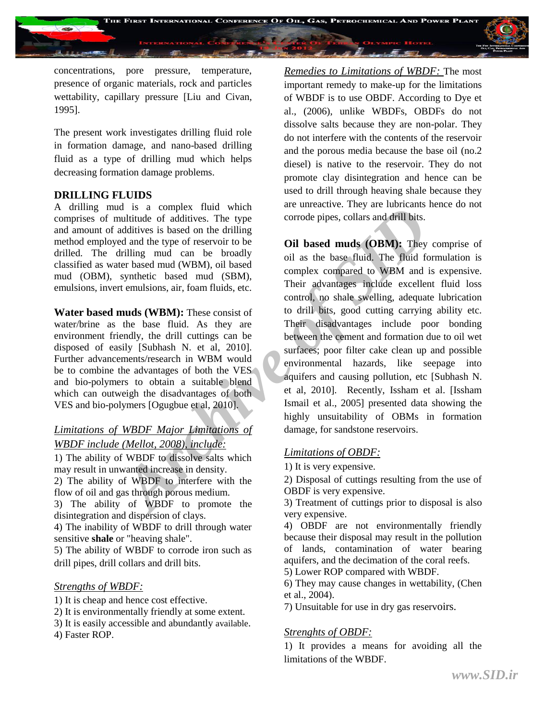

concentrations, pore pressure, temperature, presence of organic materials, rock and particles wettability, capillary pressure [Liu and Civan, 1995].

The present work investigates drilling fluid role in formation damage, and nano-based drilling fluid as a type of drilling mud which helps decreasing formation damage problems.

#### **DRILLING FLUIDS**

A drilling mud is a complex fluid which comprises of multitude of additives. The type and amount of additives is based on the drilling method employed and the type of reservoir to be drilled. The drilling mud can be broadly classified as water based mud (WBM), oil based mud (OBM), synthetic based mud (SBM), emulsions, invert emulsions, air, foam fluids, etc.

**Water based muds (WBM):** These consist of water/brine as the base fluid. As they are environment friendly, the drill cuttings can be disposed of easily [Subhash N. et al, 2010]. Further advancements/research in WBM would be to combine the advantages of both the VES and bio-polymers to obtain a suitable blend which can outweigh the disadvantages of both VES and bio-polymers [Ogugbue et al, 2010].

#### *Limitations of WBDF Major Limitations of WBDF include (Mellot, 2008), include:*

1) The ability of WBDF to dissolve salts which may result in unwanted increase in density. 2) The ability of WBDF to interfere with the

flow of oil and gas through porous medium. 3) The ability of WBDF to promote the

disintegration and dispersion of clays.

4) The inability of WBDF to drill through water sensitive **shale** or "heaving shale".

5) The ability of WBDF to corrode iron such as drill pipes, drill collars and drill bits.

#### *Strengths of WBDF:*

- 1) It is cheap and hence cost effective.
- 2) It is environmentally friendly at some extent.
- 3) It is easily accessible and abundantly available.

4) Faster ROP.

*Remedies to Limitations of WBDF:* The most important remedy to make-up for the limitations of WBDF is to use OBDF. According to Dye et al., (2006), unlike WBDFs, OBDFs do not dissolve salts because they are non-polar. They do not interfere with the contents of the reservoir and the porous media because the base oil (no.2 diesel) is native to the reservoir. They do not promote clay disintegration and hence can be used to drill through heaving shale because they are unreactive. They are lubricants hence do not corrode pipes, collars and drill bits.

d is a complex fluid which<br>
and ititide of additives its based on the drilling<br>
and the type<br>
and the type<br>
dand the type<br>
dand the type<br>
dand the type<br>
dand the type<br>
dand the type<br>
dand (WBM), oil based<br>
synthetic based **Oil based muds (OBM):** They comprise of oil as the base fluid. The fluid formulation is complex compared to WBM and is expensive. Their advantages include excellent fluid loss control, no shale swelling, adequate lubrication to drill bits, good cutting carrying ability etc. Their disadvantages include poor bonding between the cement and formation due to oil wet surfaces; poor filter cake clean up and possible environmental hazards, like seepage into aquifers and causing pollution, etc [Subhash N. et al, 2010]. Recently, Issham et al. [Issham Ismail et al., 2005] presented data showing the highly unsuitability of OBMs in formation damage, for sandstone reservoirs.

#### *Limitations of OBDF:*

1) It is very expensive.

2) Disposal of cuttings resulting from the use of OBDF is very expensive.

3) Treatment of cuttings prior to disposal is also very expensive.

4) OBDF are not environmentally friendly because their disposal may result in the pollution of lands, contamination of water bearing aquifers, and the decimation of the coral reefs.

5) Lower ROP compared with WBDF.

6) They may cause changes in wettability, (Chen et al., 2004).

7) Unsuitable for use in dry gas reservoirs.

#### *Strenghts of OBDF:*

1) It provides a means for avoiding all the limitations of the WBDF.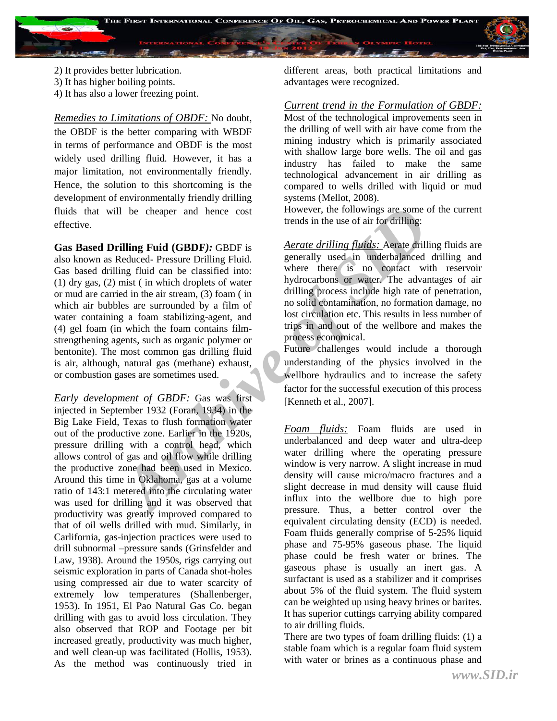

- 2) It provides better lubrication.
- 3) It has higher boiling points.
- 4) It has also a lower freezing point.

*Remedies to Limitations of OBDF:* No doubt, the OBDF is the better comparing with WBDF in terms of performance and OBDF is the most widely used drilling fluid. However, it has a major limitation, not environmentally friendly. Hence, the solution to this shortcoming is the development of environmentally friendly drilling fluids that will be cheaper and hence cost effective.

Il be cheaper and hence cost<br>
trends in the use of air for drilling<br> **Archive of air and the use of air for drilling:**<br> **Alchive of air for drilling Euid**<br> **Achived** Pressure Drilling Fluid.<br> **Agency of the air stream** (3) **Gas Based Drilling Fuid (GBDF***):* GBDF is also known as Reduced- Pressure Drilling Fluid. Gas based drilling fluid can be classified into: (1) dry gas, (2) mist ( in which droplets of water or mud are carried in the air stream, (3) foam ( in which air bubbles are surrounded by a film of water containing a foam stabilizing-agent, and (4) gel foam (in which the foam contains filmstrengthening agents, such as organic polymer or bentonite). The most common gas drilling fluid is air, although, natural gas (methane) exhaust, or combustion gases are sometimes used.

*Early development of GBDF:* Gas was first injected in September 1932 (Foran, 1934) in the Big Lake Field, Texas to flush formation water out of the productive zone. Earlier in the 1920s, pressure drilling with a control head, which allows control of gas and oil flow while drilling the productive zone had been used in Mexico. Around this time in Oklahoma, gas at a volume ratio of 143:1 metered into the circulating water was used for drilling and it was observed that productivity was greatly improved compared to that of oil wells drilled with mud. Similarly, in Carlifornia, gas-injection practices were used to drill subnormal –pressure sands (Grinsfelder and Law, 1938). Around the 1950s, rigs carrying out seismic exploration in parts of Canada shot-holes using compressed air due to water scarcity of extremely low temperatures (Shallenberger, 1953). In 1951, El Pao Natural Gas Co. began drilling with gas to avoid loss circulation. They also observed that ROP and Footage per bit increased greatly, productivity was much higher, and well clean-up was facilitated (Hollis, 1953). As the method was continuously tried in

different areas, both practical limitations and advantages were recognized.

#### *Current trend in the Formulation of GBDF:*

Most of the technological improvements seen in the drilling of well with air have come from the mining industry which is primarily associated with shallow large bore wells. The oil and gas industry has failed to make the same technological advancement in air drilling as compared to wells drilled with liquid or mud systems (Mellot, 2008).

However, the followings are some of the current trends in the use of air for drilling:

*Aerate drilling fluids:* Aerate drilling fluids are generally used in underbalanced drilling and where there is no contact with reservoir hydrocarbons or water. The advantages of air drilling process include high rate of penetration, no solid contamination, no formation damage, no lost circulation etc. This results in less number of trips in and out of the wellbore and makes the process economical.

Future challenges would include a thorough understanding of the physics involved in the wellbore hydraulics and to increase the safety factor for the successful execution of this process [Kenneth et al., 2007].

*Foam fluids:* Foam fluids are used in underbalanced and deep water and ultra-deep water drilling where the operating pressure window is very narrow. A slight increase in mud density will cause micro/macro fractures and a slight decrease in mud density will cause fluid influx into the wellbore due to high pore pressure. Thus, a better control over the equivalent circulating density (ECD) is needed. Foam fluids generally comprise of 5-25% liquid phase and 75-95% gaseous phase. The liquid phase could be fresh water or brines. The gaseous phase is usually an inert gas. A surfactant is used as a stabilizer and it comprises about 5% of the fluid system. The fluid system can be weighted up using heavy brines or barites. It has superior cuttings carrying ability compared to air drilling fluids.

There are two types of foam drilling fluids: (1) a stable foam which is a regular foam fluid system with water or brines as a continuous phase and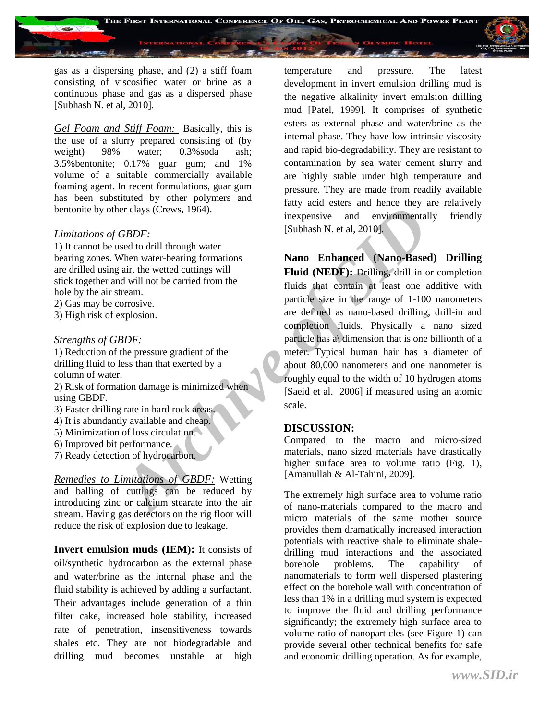

gas as a dispersing phase, and (2) a stiff foam consisting of viscosified water or brine as a continuous phase and gas as a dispersed phase [Subhash N. et al, 2010].

*Gel Foam and Stiff Foam:* Basically, this is the use of a slurry prepared consisting of (by weight) 98% water: 0.3%soda ash: 3.5%bentonite; 0.17% guar gum; and 1% volume of a suitable commercially available foaming agent. In recent formulations, guar gum has been substituted by other polymers and bentonite by other clays (Crews, 1964).

#### *Limitations of GBDF:*

1) It cannot be used to drill through water bearing zones. When water-bearing formations are drilled using air, the wetted cuttings will stick together and will not be carried from the hole by the air stream.

- 2) Gas may be corrosive.
- 3) High risk of explosion.

#### *Strengths of GBDF:*

1) Reduction of the pressure gradient of the drilling fluid to less than that exerted by a column of water.

2) Risk of formation damage is minimized when using GBDF.

- 3) Faster drilling rate in hard rock areas.
- 4) It is abundantly available and cheap.
- 5) Minimization of loss circulation.
- 6) Improved bit performance.
- 7) Ready detection of hydrocarbon.

*Remedies to Limitations of GBDF:* Wetting and balling of cuttings can be reduced by introducing zinc or calcium stearate into the air stream. Having gas detectors on the rig floor will reduce the risk of explosion due to leakage.

**Invert emulsion muds (IEM):** It consists of oil/synthetic hydrocarbon as the external phase and water/brine as the internal phase and the fluid stability is achieved by adding a surfactant. Their advantages include generation of a thin filter cake, increased hole stability, increased rate of penetration, insensitiveness towards shales etc. They are not biodegradable and drilling mud becomes unstable at high

temperature and pressure. The latest development in invert emulsion drilling mud is the negative alkalinity invert emulsion drilling mud [Patel, 1999]. It comprises of synthetic esters as external phase and water/brine as the internal phase. They have low intrinsic viscosity and rapid bio-degradability. They are resistant to contamination by sea water cement slurry and are highly stable under high temperature and pressure. They are made from readily available fatty acid esters and hence they are relatively inexpensive and environmentally friendly [Subhash N. et al, 2010].

ence alays (Crews, 1964).<br> *Archive of the inspensive* and environmental<br> *ABDF*:<br> *Archive of the inspensive* and environmental<br> *Archive of the terms* of the carried from the<br> *Archive of the same of the terms* of the te **Nano Enhanced (Nano-Based) Drilling Fluid (NEDF):** Drilling, drill-in or completion fluids that contain at least one additive with particle size in the range of 1-100 nanometers are defined as nano-based drilling, drill-in and completion fluids. Physically a nano sized particle has a\ dimension that is one billionth of a meter. Typical human hair has a diameter of about 80,000 nanometers and one nanometer is roughly equal to the width of 10 hydrogen atoms [Saeid et al. 2006] if measured using an atomic scale.

#### **DISCUSSION:**

Compared to the macro and micro-sized materials, nano sized materials have drastically higher surface area to volume ratio (Fig. 1), [Amanullah & Al-Tahini, 2009].

The extremely high surface area to volume ratio of nano-materials compared to the macro and micro materials of the same mother source provides them dramatically increased interaction potentials with reactive shale to eliminate shaledrilling mud interactions and the associated borehole problems. The capability of nanomaterials to form well dispersed plastering effect on the borehole wall with concentration of less than 1% in a drilling mud system is expected to improve the fluid and drilling performance significantly; the extremely high surface area to volume ratio of nanoparticles (see Figure 1) can provide several other technical benefits for safe and economic drilling operation. As for example,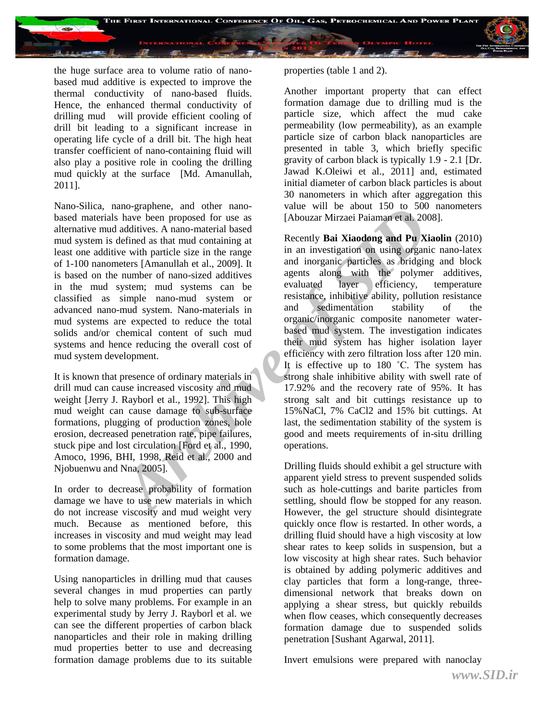

the huge surface area to volume ratio of nanobased mud additive is expected to improve the thermal conductivity of nano-based fluids. Hence, the enhanced thermal conductivity of drilling mud will provide efficient cooling of drill bit leading to a significant increase in operating life cycle of a drill bit. The high heat transfer coefficient of nano-containing fluid will also play a positive role in cooling the drilling mud quickly at the surface [Md. Amanullah, 2011].

Nano-Silica, nano-graphene, and other nanobased materials have been proposed for use as alternative mud additives. A nano-material based mud system is defined as that mud containing at least one additive with particle size in the range of 1-100 nanometers [Amanullah et al., 2009]. It is based on the number of nano-sized additives in the mud system; mud systems can be classified as simple nano-mud system or advanced nano-mud system. Nano-materials in mud systems are expected to reduce the total solids and/or chemical content of such mud systems and hence reducing the overall cost of mud system development.

It is known that presence of ordinary materials in drill mud can cause increased viscosity and mud weight [Jerry J. Rayborl et al., 1992]. This high mud weight can cause damage to sub-surface formations, plugging of production zones, hole erosion, decreased penetration rate, pipe failures, stuck pipe and lost circulation [Ford et al., 1990, Amoco, 1996, BHI, 1998, Reid et al., 2000 and Njobuenwu and Nna, 2005].

In order to decrease probability of formation damage we have to use new materials in which do not increase viscosity and mud weight very much. Because as mentioned before, this increases in viscosity and mud weight may lead to some problems that the most important one is formation damage.

Using nanoparticles in drilling mud that causes several changes in mud properties can partly help to solve many problems. For example in an experimental study by Jerry J. Rayborl et al. we can see the different properties of carbon black nanoparticles and their role in making drilling mud properties better to use and decreasing formation damage problems due to its suitable properties (table 1 and 2).

Another important property that can effect formation damage due to drilling mud is the particle size, which affect the mud cake permeability (low permeability), as an example particle size of carbon black nanoparticles are presented in table 3, which briefly specific gravity of carbon black is typically 1.9 - 2.1 [Dr. Jawad K.Oleiwi et al., 2011] and, estimated initial diameter of carbon black particles is about 30 nanometers in which after aggregation this value will be about 150 to 500 nanometers [Abouzar Mirzaei Paiaman et al. 2008].

ano-graphene, and oner hand-<br>
have been proposed for use as<br>
anditives. A nano-material based<br>
additives A nano-material based<br>
additives A nano-material based<br>
additives in the range<br>
in an investigation on using organic<br> Recently **Bai Xiaodong and Pu Xiaolin** (2010) in an investigation on using organic nano-latex and inorganic particles as bridging and block agents along with the polymer additives, evaluated layer efficiency, temperature resistance, inhibitive ability, pollution resistance and sedimentation stability of the organic/inorganic composite nanometer waterbased mud system. The investigation indicates their mud system has higher isolation layer efficiency with zero filtration loss after 120 min. It is effective up to 180 °C. The system has strong shale inhibitive ability with swell rate of 17.92% and the recovery rate of 95%. It has strong salt and bit cuttings resistance up to 15%NaCl, 7% CaCl2 and 15% bit cuttings. At last, the sedimentation stability of the system is good and meets requirements of in-situ drilling operations.

Drilling fluids should exhibit a gel structure with apparent yield stress to prevent suspended solids such as hole-cuttings and barite particles from settling, should flow be stopped for any reason. However, the gel structure should disintegrate quickly once flow is restarted. In other words, a drilling fluid should have a high viscosity at low shear rates to keep solids in suspension, but a low viscosity at high shear rates. Such behavior is obtained by adding polymeric additives and clay particles that form a long-range, threedimensional network that breaks down on applying a shear stress, but quickly rebuilds when flow ceases, which consequently decreases formation damage due to suspended solids penetration [Sushant Agarwal, 2011].

Invert emulsions were prepared with nanoclay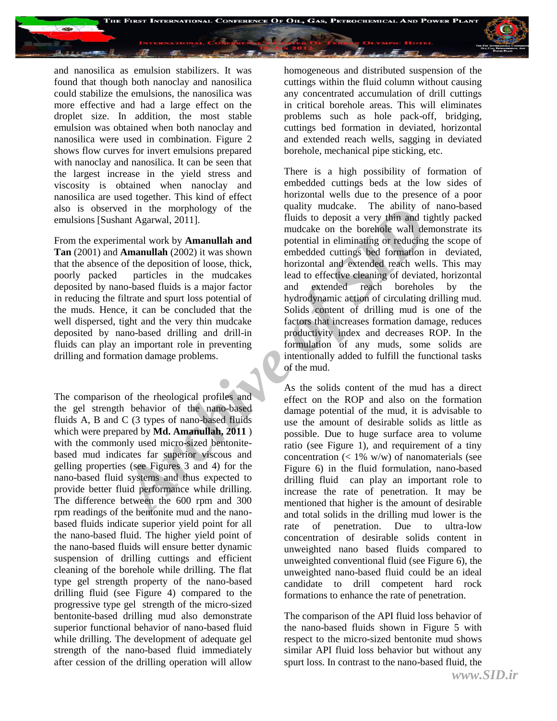

and nanosilica as emulsion stabilizers. It was found that though both nanoclay and nanosilica could stabilize the emulsions, the nanosilica was more effective and had a large effect on the droplet size. In addition, the most stable emulsion was obtained when both nanoclay and nanosilica were used in combination. Figure 2 shows flow curves for invert emulsions prepared with nanoclay and nanosilica. It can be seen that the largest increase in the yield stress and viscosity is obtained when nanoclay and nanosilica are used together. This kind of effect also is observed in the morphology of the emulsions [Sushant Agarwal, 2011].

From the experimental work by **Amanullah and Tan** (2001) and **Amanullah** (2002) it was shown that the absence of the deposition of loose, thick, poorly packed particles in the mudcakes deposited by nano-based fluids is a major factor in reducing the filtrate and spurt loss potential of the muds. Hence, it can be concluded that the well dispersed, tight and the very thin mudcake deposited by nano-based drilling and drill-in fluids can play an important role in preventing drilling and formation damage problems.

The comparison of the rheological profiles and the gel strength behavior of the nano-based fluids A, B and C (3 types of nano-based fluids which were prepared by **Md. Amanullah, 2011** ) with the commonly used micro-sized bentonitebased mud indicates far superior viscous and gelling properties (see Figures 3 and 4) for the nano-based fluid systems and thus expected to provide better fluid performance while drilling. The difference between the 600 rpm and 300 rpm readings of the bentonite mud and the nanobased fluids indicate superior yield point for all the nano-based fluid. The higher yield point of the nano-based fluids will ensure better dynamic suspension of drilling cuttings and efficient cleaning of the borehole while drilling. The flat type gel strength property of the nano-based drilling fluid (see Figure 4) compared to the progressive type gel strength of the micro-sized bentonite-based drilling mud also demonstrate superior functional behavior of nano-based fluid while drilling. The development of adequate gel strength of the nano-based fluid immediately after cession of the drilling operation will allow

homogeneous and distributed suspension of the cuttings within the fluid column without causing any concentrated accumulation of drill cuttings in critical borehole areas. This will eliminates problems such as hole pack-off, bridging, cuttings bed formation in deviated, horizontal and extended reach wells, sagging in deviated borehole, mechanical pipe sticking, etc.

d in the morphology of the quality mucake. In a built<br>include this column that Agarwal, 2011].<br> **Armanullah and** mudcake on the borehole wall demonstrate work by **Amanullah and** potential in elimingating or reducing<br> **Arma** There is a high possibility of formation of embedded cuttings beds at the low sides of horizontal wells due to the presence of a poor quality mudcake. The ability of nano-based fluids to deposit a very thin and tightly packed mudcake on the borehole wall demonstrate its potential in eliminating or reducing the scope of embedded cuttings bed formation in deviated, horizontal and extended reach wells. This may lead to effective cleaning of deviated, horizontal and extended reach boreholes by the hydrodynamic action of circulating drilling mud. Solids content of drilling mud is one of the factors that increases formation damage, reduces productivity index and decreases ROP. In the formulation of any muds, some solids are intentionally added to fulfill the functional tasks of the mud.

As the solids content of the mud has a direct effect on the ROP and also on the formation damage potential of the mud, it is advisable to use the amount of desirable solids as little as possible. Due to huge surface area to volume ratio (see Figure 1), and requirement of a tiny concentration  $\left($  < 1% w/w) of nanomaterials (see Figure 6) in the fluid formulation, nano-based drilling fluid can play an important role to increase the rate of penetration. It may be mentioned that higher is the amount of desirable and total solids in the drilling mud lower is the rate of penetration. Due to ultra-low concentration of desirable solids content in unweighted nano based fluids compared to unweighted conventional fluid (see Figure 6), the unweighted nano-based fluid could be an ideal candidate to drill competent hard rock formations to enhance the rate of penetration.

The comparison of the API fluid loss behavior of the nano-based fluids shown in Figure 5 with respect to the micro-sized bentonite mud shows similar API fluid loss behavior but without any spurt loss. In contrast to the nano-based fluid, the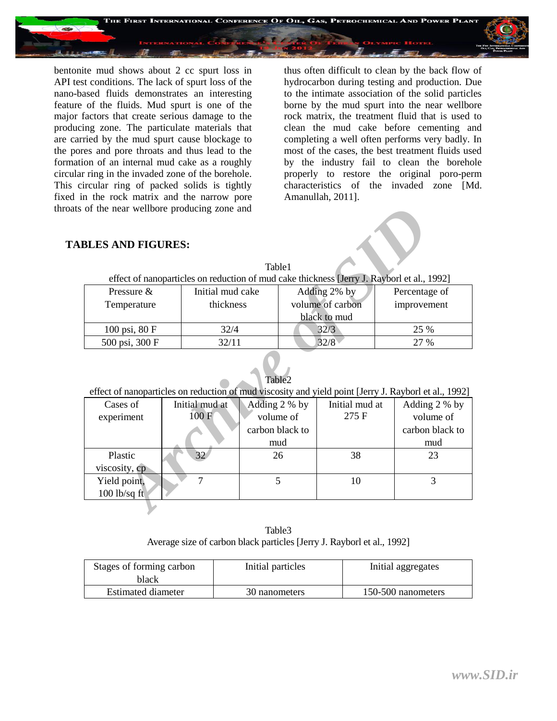

bentonite mud shows about 2 cc spurt loss in API test conditions. The lack of spurt loss of the nano-based fluids demonstrates an interesting feature of the fluids. Mud spurt is one of the major factors that create serious damage to the producing zone. The particulate materials that are carried by the mud spurt cause blockage to the pores and pore throats and thus lead to the formation of an internal mud cake as a roughly circular ring in the invaded zone of the borehole. This circular ring of packed solids is tightly fixed in the rock matrix and the narrow pore throats of the near wellbore producing zone and

thus often difficult to clean by the back flow of hydrocarbon during testing and production. Due to the intimate association of the solid particles borne by the mud spurt into the near wellbore rock matrix, the treatment fluid that is used to clean the mud cake before cementing and completing a well often performs very badly. In most of the cases, the best treatment fluids used by the industry fail to clean the borehole properly to restore the original poro-perm characteristics of the invaded zone [Md. Amanullah, 2011].

#### **TABLES AND FIGURES:**

| Table1                                                                                     |                  |                  |               |  |  |  |  |
|--------------------------------------------------------------------------------------------|------------------|------------------|---------------|--|--|--|--|
| effect of nanoparticles on reduction of mud cake thickness [Jerry J. Rayborl et al., 1992] |                  |                  |               |  |  |  |  |
| Pressure $\&$                                                                              | Initial mud cake | Adding 2% by     | Percentage of |  |  |  |  |
| Temperature                                                                                | thickness        | volume of carbon | improvement   |  |  |  |  |
|                                                                                            |                  | black to mud     |               |  |  |  |  |
| 100 psi, 80 F                                                                              | 32/4             | 32/3             | 25 %          |  |  |  |  |
| 500 psi, 300 F                                                                             | 32/11            | 32/8             | 27 %          |  |  |  |  |

#### Table2

| of the near wellbore producing zone and                                                                                          |                |                 |                  |                |  |                 |  |  |
|----------------------------------------------------------------------------------------------------------------------------------|----------------|-----------------|------------------|----------------|--|-----------------|--|--|
| <b>BLES AND FIGURES:</b><br>Table1<br>effect of nanoparticles on reduction of mud cake thickness [Jerry J. Rayborl et al., 1992] |                |                 |                  |                |  |                 |  |  |
| Pressure &<br>Initial mud cake                                                                                                   |                |                 | Adding 2% by     |                |  | Percentage of   |  |  |
| Temperature                                                                                                                      | thickness      |                 | volume of carbon |                |  | improvement     |  |  |
|                                                                                                                                  |                |                 |                  | black to mud   |  |                 |  |  |
| 100 psi, 80 F                                                                                                                    | 32/4           |                 |                  | 32/3           |  | 25 %            |  |  |
| 500 psi, 300 F                                                                                                                   | 32/11          |                 |                  | 32/8           |  | 27 %            |  |  |
| Table <sub>2</sub><br>effect of nanoparticles on reduction of mud viscosity and yield point [Jerry J. Rayborl et al., 1992]      |                |                 |                  |                |  |                 |  |  |
| Cases of                                                                                                                         | Initial mud at | Adding 2 % by   |                  | Initial mud at |  | Adding 2 % by   |  |  |
| experiment                                                                                                                       | 100F           | volume of       |                  | 275 F          |  | volume of       |  |  |
|                                                                                                                                  |                | carbon black to |                  |                |  | carbon black to |  |  |
|                                                                                                                                  |                | mud             |                  |                |  | mud             |  |  |
| Plastic                                                                                                                          | 32             | 26              |                  | 38             |  | 23              |  |  |
| viscosity, cp                                                                                                                    |                |                 |                  |                |  |                 |  |  |
| Yield point,                                                                                                                     | $\overline{7}$ | 5               |                  | 10             |  | 3               |  |  |
| $100$ lb/sq ft                                                                                                                   |                |                 |                  |                |  |                 |  |  |
|                                                                                                                                  |                |                 |                  |                |  |                 |  |  |

Table3 Average size of carbon black particles [Jerry J. Rayborl et al., 1992]

| Stages of forming carbon<br>black | Initial particles | Initial aggregates |
|-----------------------------------|-------------------|--------------------|
| Estimated diameter                | 30 nanometers     | 150-500 nanometers |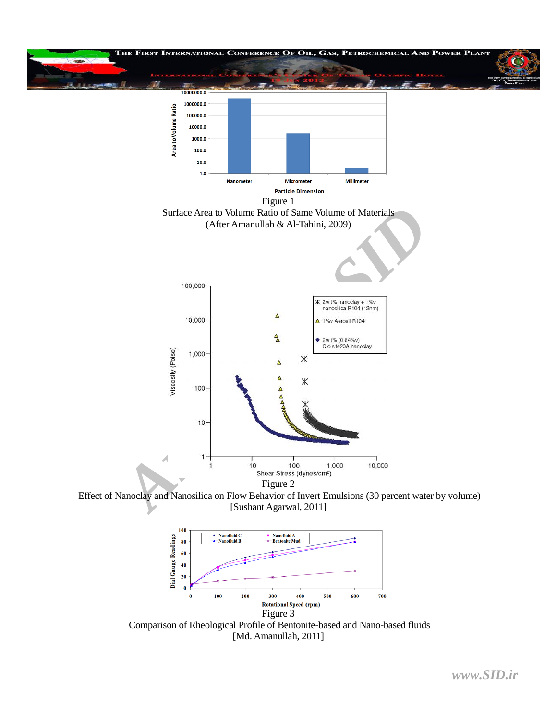

[Sushant Agarwal, 2011]



Comparison of Rheological Profile of Bentonite-based and Nano-based fluids [Md. Amanullah, 2011]

*www.SID.ir*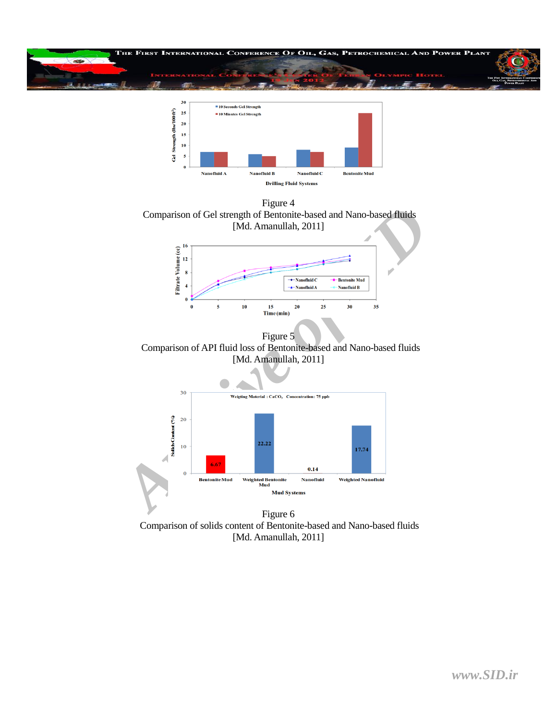



Figure 4 Comparison of Gel strength of Bentonite-based and Nano-based fluids [Md. Amanullah, 2011]



Figure 5 Comparison of API fluid loss of Bentonite-based and Nano-based fluids [Md. Amanullah, 2011]



Figure 6 Comparison of solids content of Bentonite-based and Nano-based fluids [Md. Amanullah, 2011]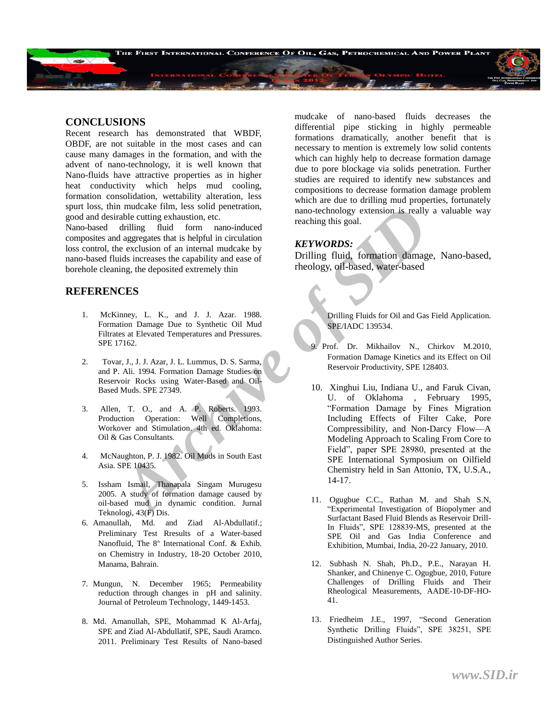

#### **CONCLUSIONS**

Recent research has demonstrated that WBDF, OBDF, are not suitable in the most cases and can cause many damages in the formation, and with the advent of nano-technology, it is well known that Nano-fluids have attractive properties as in higher heat conductivity which helps mud cooling, formation consolidation, wettability alteration, less spurt loss, thin mudcake film, less solid penetration, good and desirable cutting exhaustion, etc.

Nano-based drilling fluid form nano-induced composites and aggregates that is helpful in circulation loss control, the exclusion of an internal mudcake by nano-based fluids increases the capability and ease of borehole cleaning, the deposited extremely thin

#### **REFERENCES**

- 1. McKinney, L. K., and J. J. Azar. 1988. Formation Damage Due to Synthetic Oil Mud Filtrates at Elevated Temperatures and Pressures. SPE 17162.
- 2. Tovar, J., J. J. Azar, J. L. Lummus, D. S. Sarma, and P. Ali. 1994. Formation Damage Studies on Reservoir Rocks using Water-Based and Oil-Based Muds. SPE 27349.
- 3. Allen, T. O., and A. P. Roberts. 1993. Production Operation: Well Completions, Workover and Stimulation. 4th ed. Oklahoma: Oil & Gas Consultants.
- 4. McNaughton, P. J. 1982. Oil Muds in South East Asia. SPE 10435.
- 5. Issham Ismail, Thanapala Singam Murugesu 2005. A study of formation damage caused by oil-based mud in dynamic condition. Jurnal Teknologi, 43(F) Dis.
- 6. Amanullah, Md. and Ziad Al-Abdullatif.; Preliminary Test Rresults of a Water-based Nanofluid, The  $8<sup>th</sup>$  International Conf. & Exhib. on Chemistry in Industry, 18-20 October 2010, Manama, Bahrain.
- 7. Mungun, N. December 1965; Permeability reduction through changes in pH and salinity. Journal of Petroleum Technology, 1449-1453.
- 8. Md. Amanullah, SPE, Mohammad K Al-Arfaj, SPE and Ziad Al-Abdullatif, SPE, Saudi Aramco. 2011. Preliminary Test Results of Nano-based

mudcake of nano-based fluids decreases the differential pipe sticking in highly permeable formations dramatically, another benefit that is necessary to mention is extremely low solid contents which can highly help to decrease formation damage due to pore blockage via solids penetration. Further studies are required to identify new substances and compositions to decrease formation damage problem which are due to drilling mud properties, fortunately nano-technology extension is really a valuable way reaching this goal.

#### *KEYWORDS:*

Drilling fluid, formation damage, Nano-based, rheology, oil-based, water-based

> Drilling Fluids for Oil and Gas Field Application. SPE/IADC 139534.

- 9. Prof. Dr. Mikhailov N., Chirkov M.2010, Formation Damage Kinetics and its Effect on Oil Reservoir Productivity, SPE 128403.
- m undcake lim, less solid penerlation,<br>
and calculing exhaustion, etc.<br>
and drilling fluid form nano-induced<br>
drailing fluid form nano-induced<br>
drailing fluid form nano-induced<br>
increases the capability and case of<br>
Drilli 10. Xinghui Liu, Indiana U., and Faruk Civan, U. of Oklahoma , February 1995, ―Formation Damage by Fines Migration Including Effects of Filter Cake, Pore Compressibility, and Non-Darcy Flow—A Modeling Approach to Scaling From Core to Field", paper SPE 28980, presented at the SPE International Symposium on Oilfield Chemistry held in San Attonio, TX, U.S.A., 14-17.
	- 11. Ogugbue C.C., Rathan M. and Shah S.N, ―Experimental Investigation of Biopolymer and Surfactant Based Fluid Blends as Reservoir Drill-In Fluids", SPE 128839-MS, presented at the SPE Oil and Gas India Conference and Exhibition, Mumbai, India, 20-22 January, 2010.
	- 12. Subhash N. Shah, Ph.D., P.E., Narayan H. Shanker, and Chinenye C. Ogugbue, 2010, Future Challenges of Drilling Fluids and Their Rheological Measurements, AADE-10-DF-HO-41.
	- 13. Friedheim J.E., 1997, "Second Generation Synthetic Drilling Fluids", SPE 38251, SPE Distinguished Author Series.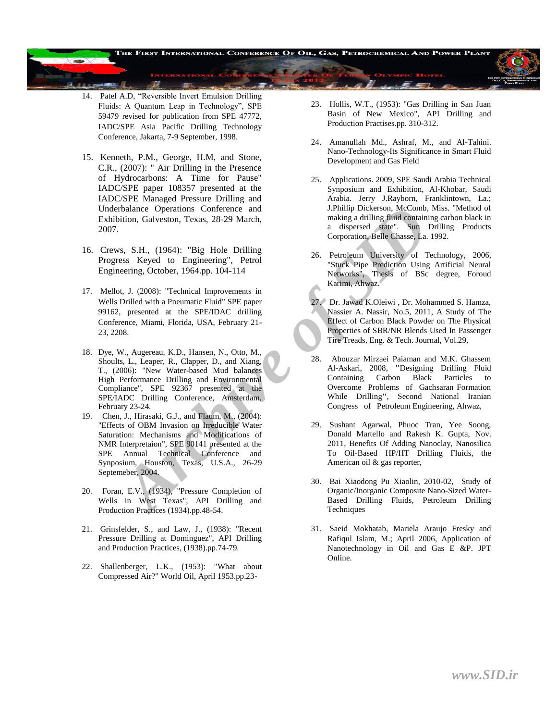14. Patel A.D, "Reversible Invert Emulsion Drilling Fluids: A Quantum Leap in Technology", SPE 59479 revised for publication from SPE 47772, IADC/SPE Asia Pacific Drilling Technology Conference, Jakarta, 7-9 September, 1998.

频

匪

- 15. Kenneth, P.M., George, H.M, and Stone, C.R., (2007): " Air Drilling in the Presence of Hydrocarbons: A Time for Pause" IADC/SPE paper 108357 presented at the IADC/SPE Managed Pressure Drilling and Underbalance Operations Conference and Exhibition, Galveston, Texas, 28-29 March, 2007.
- 16. Crews, S.H., (1964): "Big Hole Drilling Progress Keyed to Engineering", Petrol Engineering, October, 1964.pp. 104-114
- 17. Mellot, J. (2008): "Technical Improvements in Wells Drilled with a Pneumatic Fluid" SPE paper 99162, presented at the SPE/IDAC drilling Conference, Miami, Florida, USA, February 21- 23, 2208.
- The Context of Bester of Marchive Combing and Hillip Dickroon, MCCombin, Early (1976).<br>
1. Philip Dickroon, Texas, 28-29 March, and inspersed state". Sun<br>
1. Convention, Belle Chasse, La.<br>
1. (2008): "Technical Improvemen 18. Dye, W., Augereau, K.D., Hansen, N., Otto, M., Shoults, L., Leaper, R., Clapper, D., and Xiang, T., (2006): "New Water-based Mud balances High Performance Drilling and Environmental Compliance", SPE 92367 presented at the SPE/IADC Drilling Conference, Amsterdam, February 23-24.
- 19. Chen, J., Hirasaki, G.J., and Flaum, M., (2004): "Effects of OBM Invasion on Irreducible Water Saturation: Mechanisms and Modifications of NMR Interpretaion", SPE 90141 presented at the SPE Annual Technical Conference and Synposium, Houston, Texas, U.S.A., 26-29 Septemeber, 2004.
- 20. Foran, E.V., (1934), "Pressure Completion of Wells in West Texas", API Drilling and Production Practices (1934).pp.48-54.
- 21. Grinsfelder, S., and Law, J., (1938): "Recent Pressure Drilling at Dominguez", API Drilling and Production Practices, (1938).pp.74-79.
- 22. Shallenberger, L.K., (1953): "What about Compressed Air?" World Oil, April 1953.pp.23-

23. Hollis, W.T., (1953): "Gas Drilling in San Juan Basin of New Mexico", API Drilling and Production Practises.pp. 310-312.

HE FIRST INTERNATIONAL CONFERENCE OF OIL, GAS, PETROCHEMICAL AND POWER PLAN

- 24. Amanullah Md., Ashraf, M., and Al-Tahini. Nano-Technology-Its Significance in Smart Fluid Development and Gas Field
- 25. Applications. 2009, SPE Saudi Arabia Technical Synposium and Exhibition, Al-Khobar, Saudi Arabia. Jerry J.Rayborn, Franklintown, La.; J.Phillip Dickerson, McComb, Miss. "Method of making a drilling fluid containing carbon black in a dispersed state". Sun Drilling Products Corporation, Belle Chasse, La. 1992.
- 26. Petroleum University of Technology, 2006, "Stuck Pipe Prediction Using Artificial Neural Networks", Thesis of BSc degree, Foroud Karimi, Ahwaz.
- 27. Dr. Jawad K.Oleiwi , Dr. Mohammed S. Hamza, Nassier A. Nassir, No.5, 2011, A Study of The Effect of Carbon Black Powder on The Physical Properties of SBR/NR Blends Used In Passenger Tire Treads, Eng. & Tech. Journal, Vol.29,
- 28. Abouzar Mirzaei Paiaman and M.K. Ghassem Al-Askari, 2008, **"**Designing Drilling Fluid Containing Carbon Black Particles to Overcome Problems of Gachsaran Formation While Drilling**"**, Second National Iranian Congress of Petroleum Engineering, Ahwaz,
- 29. Sushant Agarwal, Phuoc Tran, Yee Soong, Donald Martello and Rakesh K. Gupta, Nov. 2011, Benefits Of Adding Nanoclay, Nanosilica To Oil-Based HP/HT Drilling Fluids, the American oil & gas reporter,
- 30. Bai Xiaodong Pu Xiaolin, 2010-02, Study of Organic/Inorganic Composite Nano-Sized Water-Based Drilling Fluids, [Petroleum Drilling](http://en.cnki.com.cn/Journal_en/B-B019-SYZT-2010-02.htm)  **Techniques**
- 31. Saeid Mokhatab, Mariela Araujo Fresky and Rafiqul Islam, M.; April 2006, Application of Nanotechnology in Oil and Gas E &P. JPT Online.